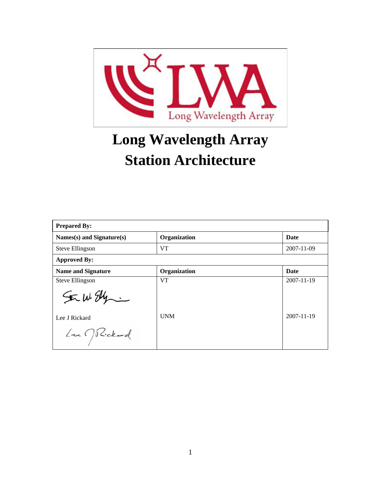

# **Long Wavelength Array Station Architecture**

| <b>Prepared By:</b>                |              |                  |  |  |
|------------------------------------|--------------|------------------|--|--|
| Names(s) and Signature(s)          | Organization | <b>Date</b>      |  |  |
| Steve Ellingson                    | <b>VT</b>    | 2007-11-09       |  |  |
| <b>Approved By:</b>                |              |                  |  |  |
| <b>Name and Signature</b>          | Organization | <b>Date</b>      |  |  |
| Steve Ellingson                    | <b>VT</b>    | 2007-11-19       |  |  |
| SE W. Ely                          |              |                  |  |  |
| Lee J Rickard                      | <b>UNM</b>   | $2007 - 11 - 19$ |  |  |
| $L_{\textrm{m}}$ $\bigcap$ Rickard |              |                  |  |  |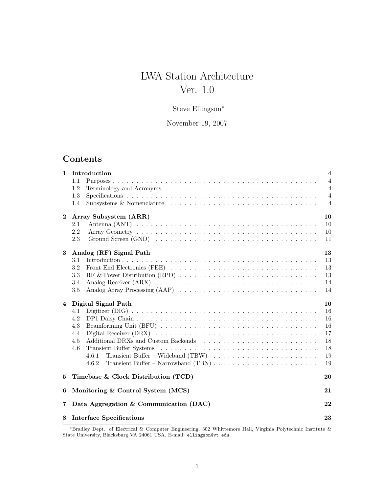# LWA Station Architecture Ver. 1.0

# Steve Ellingson<sup>∗</sup>

November 19, 2007

# Contents

| $\mathbf{1}$   | Introduction                                                                                                        | $\overline{4}$ |
|----------------|---------------------------------------------------------------------------------------------------------------------|----------------|
|                | 1.1                                                                                                                 | $\overline{4}$ |
|                | 1.2                                                                                                                 | $\overline{4}$ |
|                | 1.3                                                                                                                 | $\overline{4}$ |
|                | Subsystems & Nomenclature<br>1.4                                                                                    | $\overline{4}$ |
| $\overline{2}$ | Array Subsystem (ARR)                                                                                               | 10             |
|                | 2.1                                                                                                                 | 10             |
|                | 2.2                                                                                                                 | 10             |
|                | 2.3                                                                                                                 | 11             |
| 3              | Analog (RF) Signal Path                                                                                             | 13             |
|                | 3.1                                                                                                                 | 13             |
|                | 3.2                                                                                                                 | 13             |
|                | 3.3<br>RF & Power Distribution (RPD) $\ldots \ldots \ldots \ldots \ldots \ldots \ldots \ldots \ldots \ldots \ldots$ | 13             |
|                | 3.4                                                                                                                 | 14             |
|                | $3.5\,$                                                                                                             | 14             |
| $\overline{4}$ | Digital Signal Path                                                                                                 | 16             |
|                | 4.1                                                                                                                 | 16             |
|                | 4.2                                                                                                                 | 16             |
|                | 4.3                                                                                                                 | 16             |
|                |                                                                                                                     |                |
|                | 4.4                                                                                                                 | 17             |
|                | 4.5                                                                                                                 | 18             |
|                | 4.6                                                                                                                 | 18             |
|                | 4.6.1                                                                                                               | 19             |
|                | 4.6.2                                                                                                               | 19             |
| 5              | Timebase & Clock Distribution (TCD)                                                                                 | 20             |
| 6              | Monitoring & Control System (MCS)                                                                                   | 21             |
| $\overline{7}$ | Data Aggregation & Communication (DAC)                                                                              | 22             |

<sup>∗</sup>Bradley Dept. of Electrical & Computer Engineering, 302 Whittemore Hall, Virginia Polytechnic Institute & State University, Blacksburg VA 24061 USA. E-mail: ellingson@vt.edu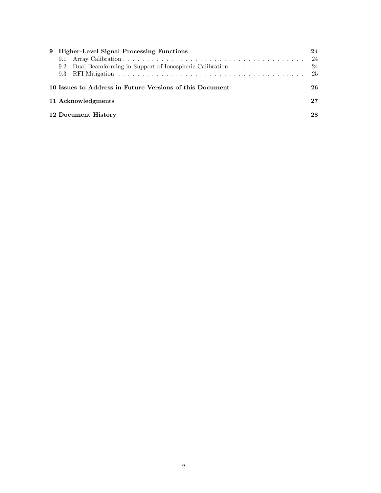|  | 9 Higher-Level Signal Processing Functions                    | 24  |
|--|---------------------------------------------------------------|-----|
|  |                                                               | -24 |
|  | 9.2 Dual Beamforming in Support of Ionospheric Calibration 24 |     |
|  |                                                               |     |
|  | 10 Issues to Address in Future Versions of this Document      | 26  |
|  | 11 Acknowledgments                                            | 27  |
|  | 12 Document History                                           | 28  |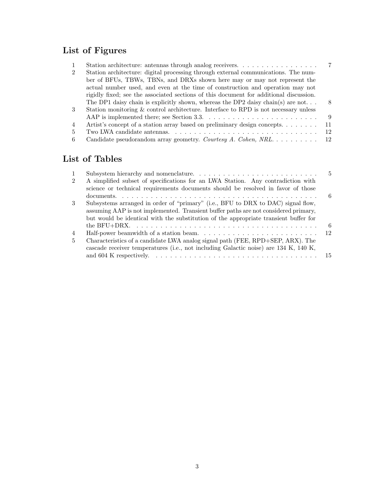# List of Figures

| 1              |                                                                                        |     |
|----------------|----------------------------------------------------------------------------------------|-----|
| $\overline{2}$ | Station architecture: digital processing through external communications. The num-     |     |
|                | ber of BFUs, TBWs, TBNs, and DRXs shown here may or may not represent the              |     |
|                | actual number used, and even at the time of construction and operation may not         |     |
|                | rigidly fixed; see the associated sections of this document for additional discussion. |     |
|                | The DP1 daisy chain is explicitly shown, whereas the DP2 daisy chain(s) are not        | -8  |
| $\mathbf{3}$   | Station monitoring & control architecture. Interface to RPD is not necessary unless    |     |
|                |                                                                                        | -9  |
| $\overline{4}$ | Artist's concept of a station array based on preliminary design concepts               | -11 |
| 5              |                                                                                        | 12  |
| 6.             |                                                                                        |     |

# List of Tables

|                                                                                      | .5   |
|--------------------------------------------------------------------------------------|------|
| A simplified subset of specifications for an LWA Station. Any contradiction with     |      |
| science or technical requirements documents should be resolved in favor of those     |      |
|                                                                                      | 6    |
| Subsystems arranged in order of "primary" (i.e., BFU to DRX to DAC) signal flow,     |      |
| assuming AAP is not implemented. Transient buffer paths are not considered primary,  |      |
| but would be identical with the substitution of the appropriate transient buffer for |      |
|                                                                                      | - 6  |
|                                                                                      | - 12 |
| Characteristics of a candidate LWA analog signal path (FEE, RPD+SEP, ARX). The       |      |
| cascade receiver temperatures (i.e., not including Galactic noise) are 134 K, 140 K, |      |
|                                                                                      |      |
|                                                                                      |      |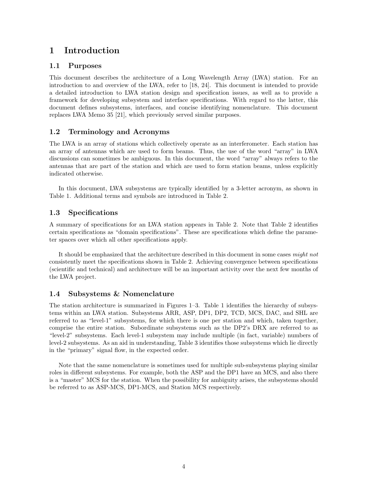# 1 Introduction

#### 1.1 Purposes

This document describes the architecture of a Long Wavelength Array (LWA) station. For an introduction to and overview of the LWA, refer to [18, 24]. This document is intended to provide a detailed introduction to LWA station design and specification issues, as well as to provide a framework for developing subsystem and interface specifications. With regard to the latter, this document defines subsystems, interfaces, and concise identifying nomenclature. This document replaces LWA Memo 35 [21], which previously served similar purposes.

#### 1.2 Terminology and Acronyms

The LWA is an array of stations which collectively operate as an interferometer. Each station has an array of antennas which are used to form beams. Thus, the use of the word "array" in LWA discussions can sometimes be ambiguous. In this document, the word "array" always refers to the antennas that are part of the station and which are used to form station beams, unless explicitly indicated otherwise.

In this document, LWA subsystems are typically identified by a 3-letter acronym, as shown in Table 1. Additional terms and symbols are introduced in Table 2.

#### 1.3 Specifications

A summary of specifications for an LWA station appears in Table 2. Note that Table 2 identifies certain specifications as "domain specifications". These are specifications which define the parameter spaces over which all other specifications apply.

It should be emphasized that the architecture described in this document in some cases might not consistently meet the specifications shown in Table 2. Achieving convergence between specifications (scientific and technical) and architecture will be an important activity over the next few months of the LWA project.

#### 1.4 Subsystems & Nomenclature

The station architecture is summarized in Figures 1–3. Table 1 identifies the hierarchy of subsystems within an LWA station. Subsystems ARR, ASP, DP1, DP2, TCD, MCS, DAC, and SHL are referred to as "level-1" subsystems, for which there is one per station and which, taken together, comprise the entire station. Subordinate subsystems such as the DP2's DRX are referred to as "level-2" subsystems. Each level-1 subsystem may include multiple (in fact, variable) numbers of level-2 subsystems. As an aid in understanding, Table 3 identifies those subsystems which lie directly in the "primary" signal flow, in the expected order.

Note that the same nomenclature is sometimes used for multiple sub-subsystems playing similar roles in different subsystems. For example, both the ASP and the DP1 have an MCS, and also there is a "master" MCS for the station. When the possibility for ambiguity arises, the subsystems should be referred to as ASP-MCS, DP1-MCS, and Station MCS respectively.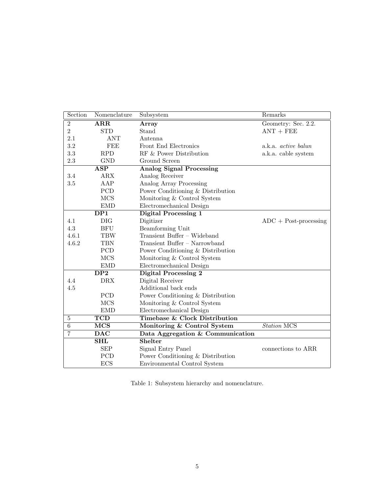| Section        | Nomenclature            | Subsystem                                | Remarks                    |
|----------------|-------------------------|------------------------------------------|----------------------------|
| $\,2$          | ARR                     | Array                                    | Geometry: Sec. 2.2.        |
| $\overline{2}$ | <b>STD</b>              | Stand                                    | $ANT + FEE$                |
| 2.1            | ANT                     | Antenna                                  |                            |
| 3.2            | FEE                     | Front End Electronics                    | a.k.a. <i>active balun</i> |
| 3.3            | <b>RPD</b>              | RF & Power Distribution                  | a.k.a. cable system        |
| $2.3\,$        | <b>GND</b>              | Ground Screen                            |                            |
|                | <b>ASP</b>              | <b>Analog Signal Processing</b>          |                            |
| 3.4            | <b>ARX</b>              | Analog Receiver                          |                            |
| 3.5            | AAP                     | Analog Array Processing                  |                            |
|                | PCD                     | Power Conditioning $\&$ Distribution     |                            |
|                | <b>MCS</b>              | Monitoring & Control System              |                            |
|                | <b>EMD</b>              | Electromechanical Design                 |                            |
|                | $\overline{DP1}$        | <b>Digital Processing 1</b>              |                            |
| 4.1            | <b>DIG</b>              | Digitizer                                | $ADC + Post-processing$    |
| 4.3            | <b>BFU</b>              | Beamforming Unit                         |                            |
| 4.6.1          | <b>TBW</b>              | Transient Buffer - Wideband              |                            |
| 4.6.2          | <b>TBN</b>              | Transient Buffer - Narrowband            |                            |
|                | PCD                     | Power Conditioning & Distribution        |                            |
|                | <b>MCS</b>              | Monitoring & Control System              |                            |
|                | ${\rm EMD}$             | Electromechanical Design                 |                            |
|                | DP2                     | <b>Digital Processing 2</b>              |                            |
| 4.4            | <b>DRX</b>              | Digital Receiver                         |                            |
| 4.5            |                         | Additional back ends                     |                            |
|                | PCD                     | Power Conditioning & Distribution        |                            |
|                | <b>MCS</b>              | Monitoring & Control System              |                            |
|                | <b>EMD</b>              | Electromechanical Design                 |                            |
| 5              | $\overline{\text{TCD}}$ | <b>Timebase &amp; Clock Distribution</b> |                            |
| $\overline{6}$ | <b>MCS</b>              | Monitoring & Control System              | <b>Station MCS</b>         |
| 7              | <b>DAC</b>              | Data Aggregation & Communication         |                            |
|                | <b>SHL</b>              | <b>Shelter</b>                           |                            |
|                | <b>SEP</b>              | Signal Entry Panel                       | connections to ARR         |
|                | PCD                     | Power Conditioning & Distribution        |                            |
|                | ECS                     | Environmental Control System             |                            |

Table 1: Subsystem hierarchy and nomenclature.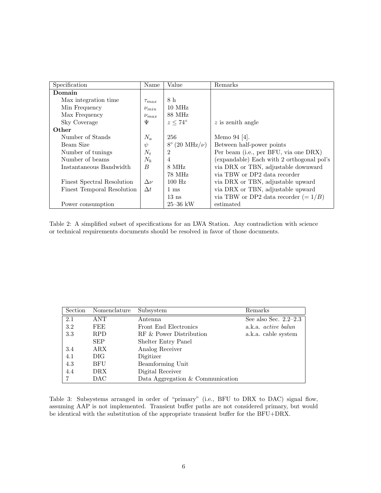| Specification                     | Name         | Value                          | Remarks                                   |
|-----------------------------------|--------------|--------------------------------|-------------------------------------------|
| Domain                            |              |                                |                                           |
| Max integration time.             | $\tau_{max}$ | 8 h                            |                                           |
| Min Frequency                     | $\nu_{min}$  | $10$ MHz                       |                                           |
| Max Frequency                     | $\nu_{max}$  | 88 MHz                         |                                           |
| Sky Coverage                      | Ψ            | $z \leq 74^{\circ}$            | $z$ is zenith angle                       |
| Other                             |              |                                |                                           |
| Number of Stands                  | $N_a$        | 256                            | Memo 94 [4].                              |
| Beam Size                         | $\psi$       | $8^\circ (20 \text{ MHz}/\nu)$ | Between half-power points                 |
| Number of tunings                 | $N_t$        | $\overline{2}$                 | Per beam (i.e., per BFU, via one DRX)     |
| Number of beams                   | $N_b$        | $\overline{4}$                 | (expandable) Each with 2 orthogonal pol's |
| Instantaneous Bandwidth           | B            | 8 MHz                          | via DRX or TBN, adjustable downward       |
|                                   |              | 78 MHz                         | via TBW or DP2 data recorder              |
| <b>Finest Spectral Resolution</b> | $\Delta \nu$ | $100$ Hz                       | via DRX or TBN, adjustable upward         |
| <b>Finest Temporal Resolution</b> | $\Delta t$   | $1 \text{ ms}$                 | via DRX or TBN, adjustable upward         |
|                                   |              | $13 \text{ ns}$                | via TBW or DP2 data recorder $(=1/B)$     |
| Power consumption                 |              | $25 - 36$ kW                   | estimated                                 |

Table 2: A simplified subset of specifications for an LWA Station. Any contradiction with science or technical requirements documents should be resolved in favor of those documents.

| Section | Nomenclature | Subsystem                        | Remarks                    |
|---------|--------------|----------------------------------|----------------------------|
| 2.1     | ANT          | Antenna                          | See also Sec. $2.2-2.3$    |
| 3.2     | FEE          | Front End Electronics            | a.k.a. <i>active balun</i> |
| 3.3     | <b>RPD</b>   | RF & Power Distribution          | a.k.a. cable system        |
|         | <b>SEP</b>   | Shelter Entry Panel              |                            |
| 3.4     | ARX          | Analog Receiver                  |                            |
| 4.1     | DIG.         | Digitizer                        |                            |
| 4.3     | <b>BFU</b>   | Beamforming Unit                 |                            |
| 4.4     | DRX.         | Digital Receiver                 |                            |
|         | DAC          | Data Aggregation & Communication |                            |

Table 3: Subsystems arranged in order of "primary" (i.e., BFU to DRX to DAC) signal flow, assuming AAP is not implemented. Transient buffer paths are not considered primary, but would be identical with the substitution of the appropriate transient buffer for the BFU+DRX.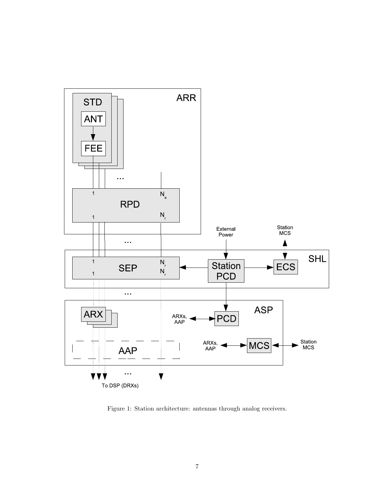

Figure 1: Station architecture: antennas through analog receivers.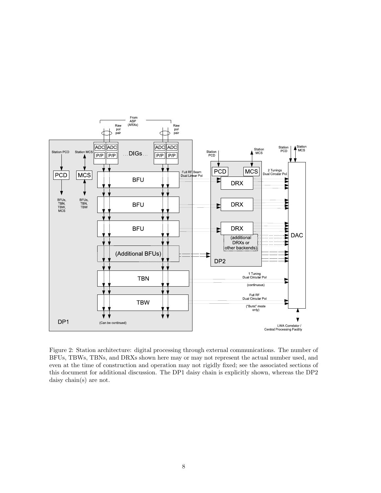

Figure 2: Station architecture: digital processing through external communications. The number of BFUs, TBWs, TBNs, and DRXs shown here may or may not represent the actual number used, and even at the time of construction and operation may not rigidly fixed; see the associated sections of this document for additional discussion. The DP1 daisy chain is explicitly shown, whereas the DP2 daisy chain(s) are not.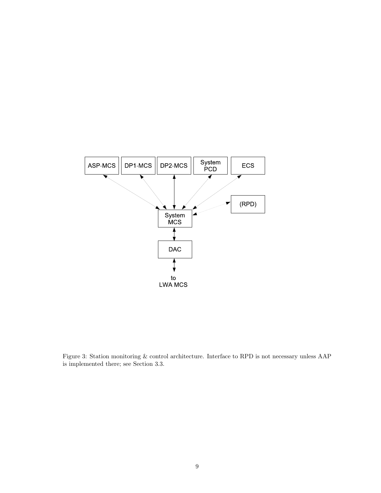

Figure 3: Station monitoring & control architecture. Interface to RPD is not necessary unless AAP is implemented there; see Section 3.3.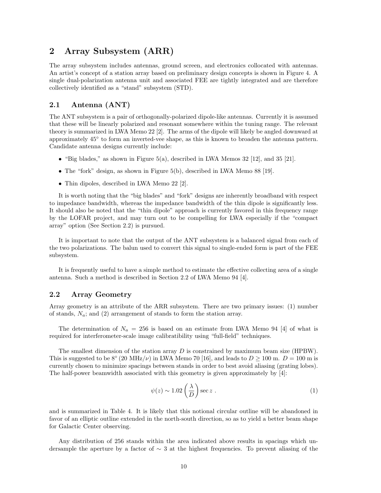### 2 Array Subsystem (ARR)

The array subsystem includes antennas, ground screen, and electronics collocated with antennas. An artist's concept of a station array based on preliminary design concepts is shown in Figure 4. A single dual-polarization antenna unit and associated FEE are tightly integrated and are therefore collectively identified as a "stand" subsystem (STD).

#### 2.1 Antenna (ANT)

The ANT subsystem is a pair of orthogonally-polarized dipole-like antennas. Currently it is assumed that these will be linearly polarized and resonant somewhere within the tuning range. The relevant theory is summarized in LWA Memo 22 [2]. The arms of the dipole will likely be angled downward at approximately 45° to form an inverted-vee shape, as this is known to broaden the antenna pattern. Candidate antenna designs currently include:

- "Big blades," as shown in Figure  $5(a)$ , described in LWA Memos 32 [12], and 35 [21].
- The "fork" design, as shown in Figure 5(b), described in LWA Memo 88 [19].
- Thin dipoles, described in LWA Memo 22 [2].

It is worth noting that the "big blades" and "fork" designs are inherently broadband with respect to impedance bandwidth, whereas the impedance bandwidth of the thin dipole is significantly less. It should also be noted that the "thin dipole" approach is currently favored in this frequency range by the LOFAR project, and may turn out to be compelling for LWA especially if the "compact array" option (See Section 2.2) is pursued.

It is important to note that the output of the ANT subsystem is a balanced signal from each of the two polarizations. The balun used to convert this signal to single-ended form is part of the FEE subsystem.

It is frequently useful to have a simple method to estimate the effective collecting area of a single antenna. Such a method is described in Section 2.2 of LWA Memo 94 [4].

#### 2.2 Array Geometry

Array geometry is an attribute of the ARR subsystem. There are two primary issues: (1) number of stands,  $N_a$ ; and (2) arrangement of stands to form the station array.

The determination of  $N_a = 256$  is based on an estimate from LWA Memo 94 [4] of what is required for interferometer-scale image calibratibility using "full-field" techniques.

The smallest dimension of the station array  $D$  is constrained by maximum beam size (HPBW). This is suggested to be 8° (20 MHz/ $\nu$ ) in LWA Memo 70 [16], and leads to  $D \ge 100$  m.  $D = 100$  m is currently chosen to minimize spacings between stands in order to best avoid aliasing (grating lobes). The half-power beamwidth associated with this geometry is given approximately by [4]:

$$
\psi(z) \sim 1.02 \left(\frac{\lambda}{D}\right) \sec z \tag{1}
$$

and is summarized in Table 4. It is likely that this notional circular outline will be abandoned in favor of an elliptic outline extended in the north-south direction, so as to yield a better beam shape for Galactic Center observing.

Any distribution of 256 stands within the area indicated above results in spacings which undersample the aperture by a factor of  $\sim$  3 at the highest frequencies. To prevent aliasing of the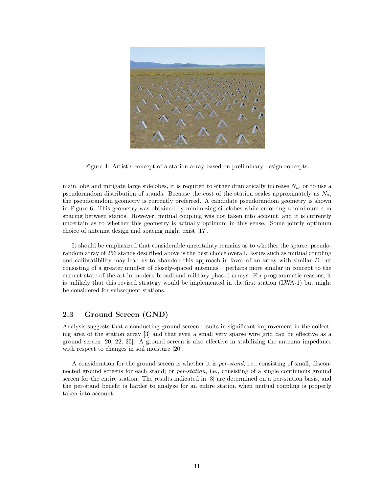

Figure 4: Artist's concept of a station array based on preliminary design concepts.

main lobe and mitigate large sidelobes, it is required to either dramatically increase  $N_a$ , or to use a pseudorandom distribution of stands. Because the cost of the station scales approximately as  $N_a$ , the pseudorandom geometry is currently preferred. A candidate pseudorandom geometry is shown in Figure 6. This geometry was obtained by minimizing sidelobes while enforcing a minimum 4 m spacing between stands. However, mutual coupling was not taken into account, and it is currently uncertain as to whether this geometry is actually optimum in this sense. Some jointly optimum choice of antenna design and spacing might exist [17].

It should be emphasized that considerable uncertainty remains as to whether the sparse, pseudorandom array of 256 stands described above is the best choice overall. Issues such as mutual coupling and calibratibility may lead us to abandon this approach in favor of an array with similar D but consisting of a greater number of closely-spaced antennas – perhaps more similar in concept to the current state-of-the-art in modern broadband military phased arrays. For programmatic reasons, it is unlikely that this revised strategy would be implemented in the first station (LWA-1) but might be considered for subsequent stations.

#### 2.3 Ground Screen (GND)

Analysis suggests that a conducting ground screen results in significant improvement in the collecting area of the station array [3] and that even a small very sparse wire grid can be effective as a ground screen [20, 22, 25]. A ground screen is also effective in stabilizing the antenna impedance with respect to changes in soil moisture [20].

A consideration for the ground screen is whether it is per-stand, i.e., consisting of small, disconnected ground screens for each stand; or *per-station*, i.e., consisting of a single continuous ground screen for the entire station. The results indicated in [3] are determined on a per-station basis, and the per-stand benefit is harder to analyze for an entire station when mutual coupling is properly taken into account.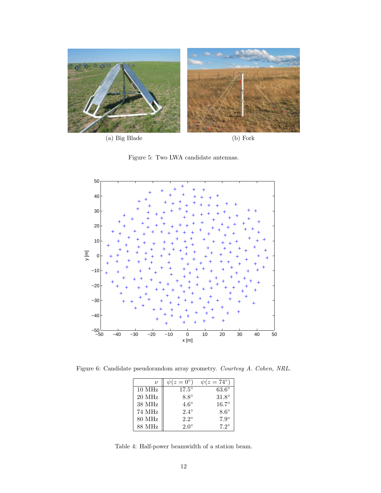

Figure 5: Two LWA candidate antennas.



Figure 6: Candidate pseudorandom array geometry. Courtesy A. Cohen, NRL.

| $\boldsymbol{\nu}$ | $(z=0^{\circ})$ | $(z = 74^{\circ})$ |
|--------------------|-----------------|--------------------|
| $10$ MHz           | $17.5^\circ$    | $63.6^\circ$       |
| 20 MHz             | $8.8^\circ$     | $31.8^\circ$       |
| 38 MHz             | $4.6^\circ$     | $16.7^\circ$       |
| 74 MHz             | $2.4^{\circ}$   | $8.6^\circ$        |
| 80 MHz             | $2.2^{\circ}$   | $7.9^\circ$        |
| 88 MHz             | $2.0^\circ$     | $7.2^{\circ}$      |

Table 4: Half-power beamwidth of a station beam.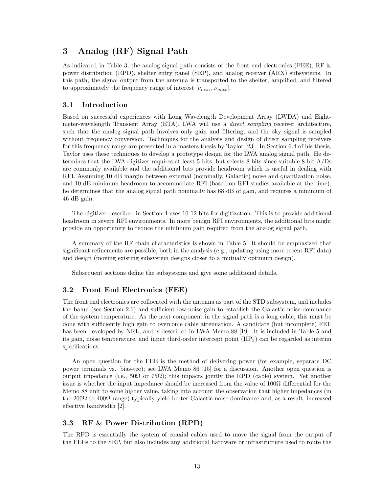# 3 Analog (RF) Signal Path

As indicated in Table 3, the analog signal path consists of the front end electronics (FEE), RF & power distribution (RPD), shelter entry panel (SEP), and analog receiver (ARX) subsystems. In this path, the signal output from the antenna is transported to the shelter, amplified, and filtered to approximately the frequency range of interest  $[\nu_{min}, \nu_{max}]$ .

#### 3.1 Introduction

Based on successful experiences with Long Wavelength Development Array (LWDA) and Eightmeter-wavelength Transient Array (ETA), LWA will use a direct sampling receiver architecture, such that the analog signal path involves only gain and filtering, and the sky signal is sampled without frequency conversion. Techniques for the analysis and design of direct sampling receivers for this frequency range are presented in a masters thesis by Taylor [23]. In Section 6.4 of his thesis, Taylor uses these techniques to develop a prototype design for the LWA analog signal path. He determines that the LWA digitizer requires at least 5 bits, but selects 8 bits since suitable 8-bit A/Ds are commonly available and the additional bits provide headroom which is useful in dealing with RFI. Assuming 10 dB margin between external (nominally, Galactic) noise and quantization noise, and 10 dB minimum headroom to accommodate RFI (based on RFI studies available at the time), he determines that the analog signal path nominally has 68 dB of gain, and requires a minimum of 46 dB gain.

The digitizer described in Section 4 uses 10-12 bits for digitization. This is to provide additional headroom in severe RFI environments. In more benign RFI environments, the additional bits might provide an opportunity to reduce the minimum gain required from the analog signal path.

A summary of the RF chain characteristics is shown in Table 5. It should be emphasized that significant refinements are possible, both in the analysis (e.g., updating using more recent RFI data) and design (moving existing subsystem designs closer to a mutually optimum design).

Subsequent sections define the subsystems and give some additional details.

#### 3.2 Front End Electronics (FEE)

The front end electronics are collocated with the antenna as part of the STD subsystem, and includes the balun (see Section 2.1) and sufficient low-noise gain to establish the Galactic noise-dominance of the system temperature. As the next component in the signal path is a long cable, this must be done with sufficiently high gain to overcome cable attenuation. A candidate (but incomplete) FEE has been developed by NRL, and is described in LWA Memo 88 [19]. It is included in Table 5 and its gain, noise temperature, and input third-order intercept point (IIP3) can be regarded as interim specifications.

An open question for the FEE is the method of delivering power (for example, separate DC power terminals vs. bias-tee); see LWA Memo 86 [15] for a discussion. Another open question is output impedance (i.e.,  $50\Omega$  or  $75\Omega$ ); this impacts jointly the RPD (cable) system. Yet another issue is whether the input impedance should be increased from the value of  $100\Omega$  differential for the Memo 88 unit to some higher value, taking into account the observation that higher impedances (in the 200 $\Omega$  to 400 $\Omega$  range) typically yield better Galactic noise dominance and, as a result, increased effective bandwidth [2].

#### 3.3 RF & Power Distribution (RPD)

The RPD is essentially the system of coaxial cables used to move the signal from the output of the FEEs to the SEP, but also includes any additional hardware or infrastructure used to route the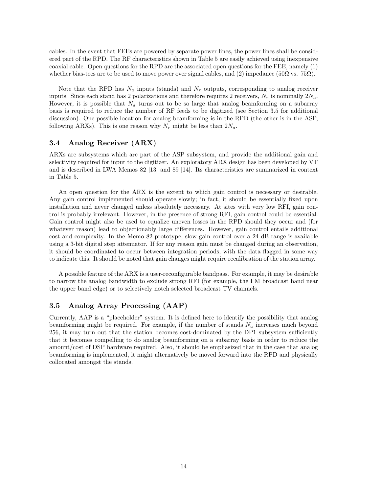cables. In the event that FEEs are powered by separate power lines, the power lines shall be considered part of the RPD. The RF characteristics shown in Table 5 are easily achieved using inexpensive coaxial cable. Open questions for the RPD are the associated open questions for the FEE, namely (1) whether bias-tees are to be used to move power over signal cables, and (2) impedance (50 $\Omega$  vs. 75 $\Omega$ ).

Note that the RPD has  $N_a$  inputs (stands) and  $N_r$  outputs, corresponding to analog receiver inputs. Since each stand has 2 polarizations and therefore requires 2 receivers,  $N_r$  is nominally  $2N_a$ . However, it is possible that  $N_a$  turns out to be so large that analog beamforming on a subarray basis is required to reduce the number of RF feeds to be digitized (see Section 3.5 for additional discussion). One possible location for analog beamforming is in the RPD (the other is in the ASP, following ARXs). This is one reason why  $N_r$  might be less than  $2N_a$ .

#### 3.4 Analog Receiver (ARX)

ARXs are subsystems which are part of the ASP subsystem, and provide the additional gain and selectivity required for input to the digitizer. An exploratory ARX design has been developed by VT and is described in LWA Memos 82 [13] and 89 [14]. Its characteristics are summarized in context in Table 5.

An open question for the ARX is the extent to which gain control is necessary or desirable. Any gain control implemented should operate slowly; in fact, it should be essentially fixed upon installation and never changed unless absolutely necessary. At sites with very low RFI, gain control is probably irrelevant. However, in the presence of strong RFI, gain control could be essential. Gain control might also be used to equalize uneven losses in the RPD should they occur and (for whatever reason) lead to objectionably large differences. However, gain control entails additional cost and complexity. In the Memo 82 prototype, slow gain control over a 24 dB range is available using a 3-bit digital step attenuator. If for any reason gain must be changed during an observation, it should be coordinated to occur between integration periods, with the data flagged in some way to indicate this. It should be noted that gain changes might require recalibration of the station array.

A possible feature of the ARX is a user-reconfigurable bandpass. For example, it may be desirable to narrow the analog bandwidth to exclude strong RFI (for example, the FM broadcast band near the upper band edge) or to selectively notch selected broadcast TV channels.

#### 3.5 Analog Array Processing (AAP)

Currently, AAP is a "placeholder" system. It is defined here to identify the possibility that analog beamforming might be required. For example, if the number of stands  $N_a$  increases much beyond 256, it may turn out that the station becomes cost-dominated by the DP1 subsystem sufficiently that it becomes compelling to do analog beamforming on a subarray basis in order to reduce the amount/cost of DSP hardware required. Also, it should be emphasized that in the case that analog beamforming is implemented, it might alternatively be moved forward into the RPD and physically collocated amongst the stands.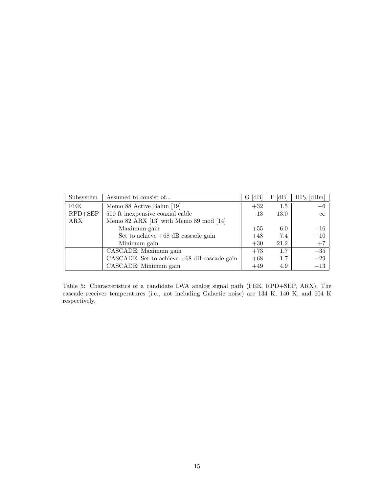| Subsystem   | Assumed to consist of                         | G [dB] | dB <br>F | $\text{HP}_3$ [dBm] |
|-------------|-----------------------------------------------|--------|----------|---------------------|
| FEE         | Memo 88 Active Balun [19]                     | $+32$  | 1.5      | $-6$                |
| $RPD + SEP$ | 500 ft inexpensive coaxial cable              | $-13$  | 13.0     | $\infty$            |
| ARX         | Memo 82 ARX [13] with Memo 89 mod [14]        |        |          |                     |
|             | Maximum gain                                  | $+55$  | 6.0      | $-16$               |
|             | Set to achieve $+68$ dB cascade gain          | $+48$  | 7.4      | $-10$               |
|             | Minimum gain                                  | $+30$  | 21.2     | $+7$                |
|             | CASCADE: Maximum gain                         | $+73$  | 1.7      | $-35$               |
|             | CASCADE: Set to achieve $+68$ dB cascade gain | $+68$  | 1.7      | $-29$               |
|             | CASCADE: Minimum gain                         | $+49$  | 4.9      | $-13$               |

Table 5: Characteristics of a candidate LWA analog signal path (FEE, RPD+SEP, ARX). The cascade receiver temperatures (i.e., not including Galactic noise) are 134 K, 140 K, and 604 K respectively.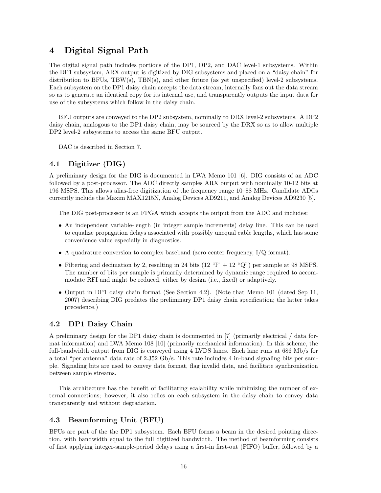# 4 Digital Signal Path

The digital signal path includes portions of the DP1, DP2, and DAC level-1 subsystems. Within the DP1 subsystem, ARX output is digitized by DIG subsystems and placed on a "daisy chain" for distribution to BFUs, TBW(s), TBN(s), and other future (as yet unspecified) level-2 subsystems. Each subsystem on the DP1 daisy chain accepts the data stream, internally fans out the data stream so as to generate an identical copy for its internal use, and transparently outputs the input data for use of the subsystems which follow in the daisy chain.

BFU outputs are conveyed to the DP2 subsystem, nominally to DRX level-2 subsystems. A DP2 daisy chain, analogous to the DP1 daisy chain, may be sourced by the DRX so as to allow multiple DP2 level-2 subsystems to access the same BFU output.

DAC is described in Section 7.

#### 4.1 Digitizer (DIG)

A preliminary design for the DIG is documented in LWA Memo 101 [6]. DIG consists of an ADC followed by a post-processor. The ADC directly samples ARX output with nominally 10-12 bits at 196 MSPS. This allows alias-free digitization of the frequency range 10–88 MHz. Candidate ADCs currently include the Maxim MAX1215N, Analog Devices AD9211, and Analog Devices AD9230 [5].

The DIG post-processor is an FPGA which accepts the output from the ADC and includes:

- An independent variable-length (in integer sample increments) delay line. This can be used to equalize propagation delays associated with possibly unequal cable lengths, which has some convenience value especially in diagnostics.
- A quadrature conversion to complex baseband (zero center frequency, I/Q format).
- Filtering and decimation by 2, resulting in 24 bits (12  $T + 12$  "Q") per sample at 98 MSPS. The number of bits per sample is primarily determined by dynamic range required to accommodate RFI and might be reduced, either by design (i.e., fixed) or adaptively.
- Output in DP1 daisy chain format (See Section 4.2). (Note that Memo 101 (dated Sep 11, 2007) describing DIG predates the preliminary DP1 daisy chain specification; the latter takes precedence.)

#### 4.2 DP1 Daisy Chain

A preliminary design for the DP1 daisy chain is documented in [7] (primarily electrical / data format information) and LWA Memo 108 [10] (primarily mechanical information). In this scheme, the full-bandwidth output from DIG is conveyed using 4 LVDS lanes. Each lane runs at 686 Mb/s for a total "per antenna" data rate of 2.352 Gb/s. This rate includes 4 in-band signaling bits per sample. Signaling bits are used to convey data format, flag invalid data, and facilitate synchronization between sample streams.

This architecture has the benefit of facilitating scalability while minimizing the number of external connections; however, it also relies on each subsystem in the daisy chain to convey data transparently and without degradation.

#### 4.3 Beamforming Unit (BFU)

BFUs are part of the the DP1 subsystem. Each BFU forms a beam in the desired pointing direction, with bandwidth equal to the full digitized bandwidth. The method of beamforming consists of first applying integer-sample-period delays using a first-in first-out (FIFO) buffer, followed by a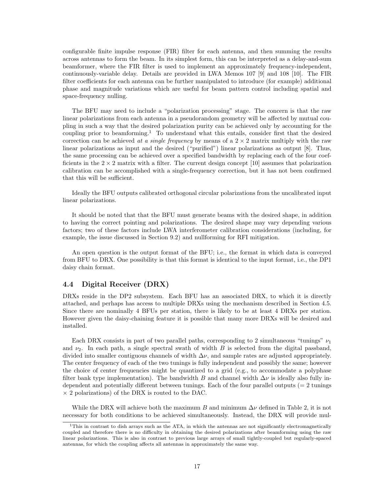configurable finite impulse response (FIR) filter for each antenna, and then summing the results across antennas to form the beam. In its simplest form, this can be interpreted as a delay-and-sum beamformer, where the FIR filter is used to implement an approximately frequency-independent, continuously-variable delay. Details are provided in LWA Memos 107 [9] and 108 [10]. The FIR filter coefficients for each antenna can be further manipulated to introduce (for example) additional phase and magnitude variations which are useful for beam pattern control including spatial and space-frequency nulling.

The BFU may need to include a "polarization processing" stage. The concern is that the raw linear polarizations from each antenna in a pseudorandom geometry will be affected by mutual coupling in such a way that the desired polarization purity can be achieved only by accounting for the coupling prior to beamforming.<sup>1</sup> To understand what this entails, consider first that the desired correction can be achieved at a single frequency by means of a  $2 \times 2$  matrix multiply with the raw linear polarizations as input and the desired ("purified") linear polarizations as output [8]. Thus, the same processing can be achieved over a specified bandwidth by replacing each of the four coefficients in the  $2 \times 2$  matrix with a filter. The current design concept [10] assumes that polarization calibration can be accomplished with a single-frequency correction, but it has not been confirmed that this will be sufficient.

Ideally the BFU outputs calibrated orthogonal circular polarizations from the uncalibrated input linear polarizations.

It should be noted that that the BFU must generate beams with the desired shape, in addition to having the correct pointing and polarizations. The desired shape may vary depending various factors; two of these factors include LWA interferometer calibration considerations (including, for example, the issue discussed in Section 9.2) and nullforming for RFI mitigation.

An open question is the output format of the BFU; i.e., the format in which data is conveyed from BFU to DRX. One possibility is that this format is identical to the input format, i.e., the DP1 daisy chain format.

#### 4.4 Digital Receiver (DRX)

DRXs reside in the DP2 subsystem. Each BFU has an associated DRX, to which it is directly attached, and perhaps has access to multiple DRXs using the mechanism described in Section 4.5. Since there are nominally 4 BFUs per station, there is likely to be at least 4 DRXs per station. However given the daisy-chaining feature it is possible that many more DRXs will be desired and installed.

Each DRX consists in part of two parallel paths, corresponding to 2 simultaneous "tunings"  $\nu_1$ and  $\nu_2$ . In each path, a single spectral swath of width B is selected from the digital passband, divided into smaller contiguous channels of width  $\Delta v$ , and sample rates are adjusted appropriately. The center frequency of each of the two tunings is fully independent and possibly the same; however the choice of center frequencies might be quantized to a grid (e.g., to accommodate a polyphase filter bank type implementation). The bandwidth B and channel width  $\Delta \nu$  is ideally also fully independent and potentially different between tunings. Each of the four parallel outputs  $(= 2 \text{ tuning})$  $\times$  2 polarizations) of the DRX is routed to the DAC.

While the DRX will achieve both the maximum B and minimum  $\Delta \nu$  defined in Table 2, it is not necessary for both conditions to be achieved simultaneously. Instead, the DRX will provide mul-

<sup>&</sup>lt;sup>1</sup>This in contrast to dish arrays such as the ATA, in which the antennas are not significantly electromagnetically coupled and therefore there is no difficulty in obtaining the desired polarizations after beamforming using the raw linear polarizations. This is also in contrast to previous large arrays of small tightly-coupled but regularly-spaced antennas, for which the coupling affects all antennas in approximately the same way.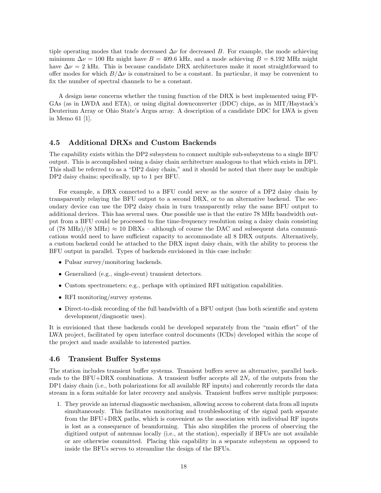tiple operating modes that trade decreased  $\Delta \nu$  for decreased B. For example, the mode achieving minimum  $\Delta \nu = 100$  Hz might have  $B = 409.6$  kHz, and a mode achieving  $B = 8.192$  MHz might have  $\Delta \nu = 2$  kHz. This is because candidate DRX architectures make it most straightforward to offer modes for which  $B/\Delta \nu$  is constrained to be a constant. In particular, it may be convenient to fix the number of spectral channels to be a constant.

A design issue concerns whether the tuning function of the DRX is best implemented using FP-GAs (as in LWDA and ETA), or using digital downconverter (DDC) chips, as in MIT/Haystack's Deuterium Array or Ohio State's Argus array. A description of a candidate DDC for LWA is given in Memo 61 [1].

#### 4.5 Additional DRXs and Custom Backends

The capability exists within the DP2 subsystem to connect multiple sub-subsystems to a single BFU output. This is accomplished using a daisy chain architecture analogous to that which exists in DP1. This shall be referred to as a "DP2 daisy chain," and it should be noted that there may be multiple DP2 daisy chains; specifically, up to 1 per BFU.

For example, a DRX connected to a BFU could serve as the source of a DP2 daisy chain by transparently relaying the BFU output to a second DRX, or to an alternative backend. The secondary device can use the DP2 daisy chain in turn transparently relay the same BFU output to additional devices. This has several uses. One possible use is that the entire 78 MHz bandwidth output from a BFU could be processed to fine time-frequency resolution using a daisy chain consisting of (78 MHz)/(8 MHz)  $\approx$  10 DRXs – although of course the DAC and subsequent data communications would need to have sufficient capacity to accommodate all 8 DRX outputs. Alternatively, a custom backend could be attached to the DRX input daisy chain, with the ability to process the BFU output in parallel. Types of backends envisioned in this case include:

- Pulsar survey/monitoring backends.
- Generalized (e.g., single-event) transient detectors.
- Custom spectrometers; e.g., perhaps with optimized RFI mitigation capabilities.
- RFI monitoring/survey systems.
- Direct-to-disk recording of the full bandwidth of a BFU output (has both scientific and system development/diagnostic uses).

It is envisioned that these backends could be developed separately from the "main effort" of the LWA project, facilitated by open interface control documents (ICDs) developed within the scope of the project and made available to interested parties.

#### 4.6 Transient Buffer Systems

The station includes transient buffer systems. Transient buffers serve as alternative, parallel backends to the BFU+DRX combinations. A transient buffer accepts all  $2N_r$  of the outputs from the DP1 daisy chain (i.e., both polarizations for all available RF inputs) and coherently records the data stream in a form suitable for later recovery and analysis. Transient buffers serve multiple purposes:

1. They provide an internal diagnostic mechanism, allowing access to coherent data from all inputs simultaneously. This facilitates monitoring and troubleshooting of the signal path separate from the BFU+DRX paths, which is convenient as the association with individual RF inputs is lost as a consequence of beamforming. This also simplifies the process of observing the digitized output of antennas locally (i.e., at the station), especially if BFUs are not available or are otherwise committed. Placing this capability in a separate subsystem as opposed to inside the BFUs serves to streamline the design of the BFUs.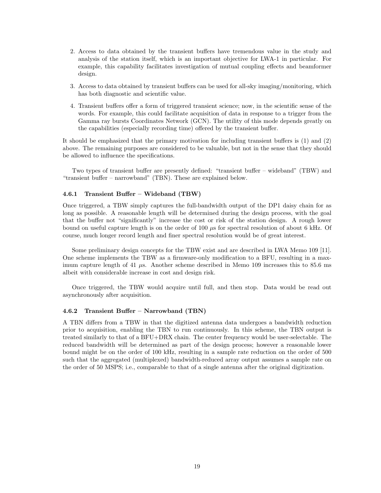- 2. Access to data obtained by the transient buffers have tremendous value in the study and analysis of the station itself, which is an important objective for LWA-1 in particular. For example, this capability facilitates investigation of mutual coupling effects and beamformer design.
- 3. Access to data obtained by transient buffers can be used for all-sky imaging/monitoring, which has both diagnostic and scientific value.
- 4. Transient buffers offer a form of triggered transient science; now, in the scientific sense of the words. For example, this could facilitate acquisition of data in response to a trigger from the Gamma ray bursts Coordinates Network (GCN). The utility of this mode depends greatly on the capabilities (especially recording time) offered by the transient buffer.

It should be emphasized that the primary motivation for including transient buffers is (1) and (2) above. The remaining purposes are considered to be valuable, but not in the sense that they should be allowed to influence the specifications.

Two types of transient buffer are presently defined: "transient buffer – wideband" (TBW) and "transient buffer – narrowband" (TBN). These are explained below.

#### 4.6.1 Transient Buffer – Wideband (TBW)

Once triggered, a TBW simply captures the full-bandwidth output of the DP1 daisy chain for as long as possible. A reasonable length will be determined during the design process, with the goal that the buffer not "significantly" increase the cost or risk of the station design. A rough lower bound on useful capture length is on the order of  $100 \mu s$  for spectral resolution of about 6 kHz. Of course, much longer record length and finer spectral resolution would be of great interest.

Some preliminary design concepts for the TBW exist and are described in LWA Memo 109 [11]. One scheme implements the TBW as a firmware-only modification to a BFU, resulting in a maximum capture length of 41  $\mu$ s. Another scheme described in Memo 109 increases this to 85.6 ms albeit with considerable increase in cost and design risk.

Once triggered, the TBW would acquire until full, and then stop. Data would be read out asynchronously after acquisition.

#### 4.6.2 Transient Buffer – Narrowband (TBN)

A TBN differs from a TBW in that the digitized antenna data undergoes a bandwidth reduction prior to acquisition, enabling the TBN to run continuously. In this scheme, the TBN output is treated similarly to that of a BFU+DRX chain. The center frequency would be user-selectable. The reduced bandwidth will be determined as part of the design process; however a reasonable lower bound might be on the order of 100 kHz, resulting in a sample rate reduction on the order of 500 such that the aggregated (multiplexed) bandwidth-reduced array output assumes a sample rate on the order of 50 MSPS; i.e., comparable to that of a single antenna after the original digitization.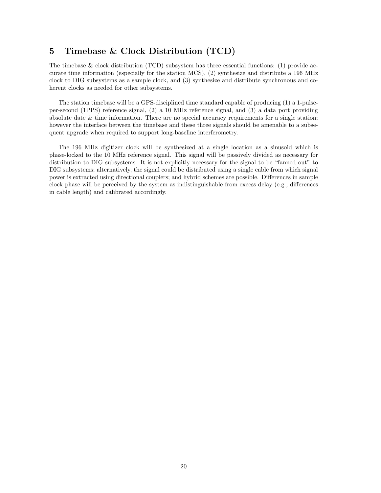### 5 Timebase & Clock Distribution (TCD)

The timebase & clock distribution (TCD) subsystem has three essential functions: (1) provide accurate time information (especially for the station MCS), (2) synthesize and distribute a 196 MHz clock to DIG subsystems as a sample clock, and (3) synthesize and distribute synchronous and coherent clocks as needed for other subsystems.

The station timebase will be a GPS-disciplined time standard capable of producing (1) a 1-pulseper-second (1PPS) reference signal, (2) a 10 MHz reference signal, and (3) a data port providing absolute date  $&$  time information. There are no special accuracy requirements for a single station; however the interface between the timebase and these three signals should be amenable to a subsequent upgrade when required to support long-baseline interferometry.

The 196 MHz digitizer clock will be synthesized at a single location as a sinusoid which is phase-locked to the 10 MHz reference signal. This signal will be passively divided as necessary for distribution to DIG subsystems. It is not explicitly necessary for the signal to be "fanned out" to DIG subsystems; alternatively, the signal could be distributed using a single cable from which signal power is extracted using directional couplers; and hybrid schemes are possible. Differences in sample clock phase will be perceived by the system as indistinguishable from excess delay (e.g., differences in cable length) and calibrated accordingly.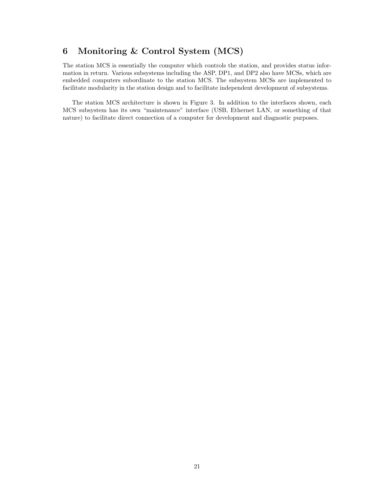# 6 Monitoring & Control System (MCS)

The station MCS is essentially the computer which controls the station, and provides status information in return. Various subsystems including the ASP, DP1, and DP2 also have MCSs, which are embedded computers subordinate to the station MCS. The subsystem MCSs are implemented to facilitate modularity in the station design and to facilitate independent development of subsystems.

The station MCS architecture is shown in Figure 3. In addition to the interfaces shown, each MCS subsystem has its own "maintenance" interface (USB, Ethernet LAN, or something of that nature) to facilitate direct connection of a computer for development and diagnostic purposes.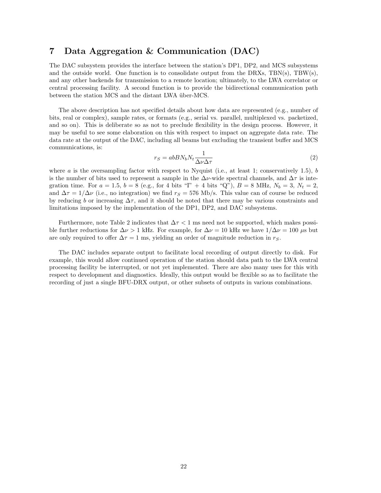## 7 Data Aggregation & Communication (DAC)

The DAC subsystem provides the interface between the station's DP1, DP2, and MCS subsystems and the outside world. One function is to consolidate output from the DRXs, TBN(s), TBW(s), and any other backends for transmission to a remote location; ultimately, to the LWA correlator or central processing facility. A second function is to provide the bidirectional communication path between the station MCS and the distant LWA über-MCS.

The above description has not specified details about how data are represented (e.g., number of bits, real or complex), sample rates, or formats (e.g., serial vs. parallel, multiplexed vs. packetized, and so on). This is deliberate so as not to preclude flexibility in the design process. However, it may be useful to see some elaboration on this with respect to impact on aggregate data rate. The data rate at the output of the DAC, including all beams but excluding the transient buffer and MCS communications, is:

$$
r_S = abB N_b N_t \frac{1}{\Delta \nu \Delta \tau} \tag{2}
$$

where a is the oversampling factor with respect to Nyquist (i.e., at least 1; conservatively 1.5), b is the number of bits used to represent a sample in the  $\Delta \nu$ -wide spectral channels, and  $\Delta \tau$  is integration time. For  $a = 1.5$ ,  $b = 8$  (e.g., for 4 bits "I" + 4 bits "Q"),  $B = 8$  MHz,  $N_b = 3$ ,  $N_t = 2$ , and  $\Delta \tau = 1/\Delta \nu$  (i.e., no integration) we find  $r_S = 576$  Mb/s. This value can of course be reduced by reducing b or increasing  $\Delta \tau$ , and it should be noted that there may be various constraints and limitations imposed by the implementation of the DP1, DP2, and DAC subsystems.

Furthermore, note Table 2 indicates that  $\Delta \tau < 1$  ms need not be supported, which makes possible further reductions for  $\Delta \nu > 1$  kHz. For example, for  $\Delta \nu = 10$  kHz we have  $1/\Delta \nu = 100 \mu s$  but are only required to offer  $\Delta \tau = 1$  ms, yielding an order of magnitude reduction in r<sub>S</sub>.

The DAC includes separate output to facilitate local recording of output directly to disk. For example, this would allow continued operation of the station should data path to the LWA central processing facility be interrupted, or not yet implemented. There are also many uses for this with respect to development and diagnostics. Ideally, this output would be flexible so as to facilitate the recording of just a single BFU-DRX output, or other subsets of outputs in various combinations.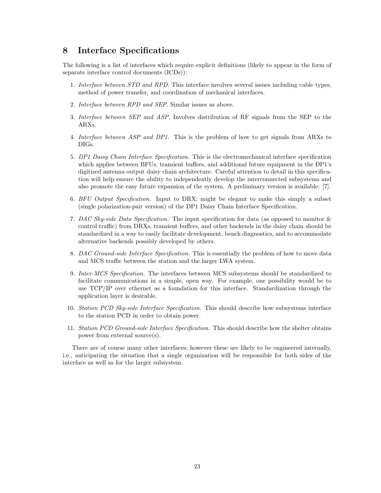# 8 Interface Specifications

The following is a list of interfaces which require explicit definitions (likely to appear in the form of separate interface control documents (ICDs)):

- 1. Interface between STD and RPD. This interface involves several issues including cable types, method of power transfer, and coordination of mechanical interfaces.
- 2. Interface between RPD and SEP. Similar issues as above.
- 3. Interface between SEP and ASP. Involves distribution of RF signals from the SEP to the ARXs.
- 4. Interface between ASP and DP1. This is the problem of how to get signals from ARXs to DIGs.
- 5. DP1 Daisy Chain Interface Specification. This is the electromechanical interface specification which applies between BFUs, transient buffers, and additional future equipment in the DP1's digitized antenna output daisy chain architecture. Careful attention to detail in this specification will help ensure the ability to independently develop the interconnected subsystems and also promote the easy future expansion of the system. A preliminary version is available: [7].
- 6. BFU Output Specification. Input to DRX; might be elegant to make this simply a subset (single polarization-pair version) of the DP1 Daisy Chain Interface Specification.
- 7. DAC Sky-side Data Specification. The input specification for data (as opposed to monitor & control traffic) from DRXs, transient buffers, and other backends in the daisy chain should be standardized in a way to easily facilitate development, bench diagnostics, and to accommodate alternative backends possibly developed by others.
- 8. DAC Ground-side Interface Specification. This is essentially the problem of how to move data and MCS traffic between the station and the larger LWA system.
- 9. Inter-MCS Specification. The interfaces between MCS subsystems should be standardized to facilitate communications in a simple, open way. For example, one possibility would be to use TCP/IP over ethernet as a foundation for this interface. Standardization through the application layer is desirable.
- 10. Station PCD Sky-side Interface Specification. This should describe how subsystems interface to the station PCD in order to obtain power.
- 11. Station PCD Ground-side Interface Specification. This should describe how the shelter obtains power from external source(s).

There are of course many other interfaces; however these are likely to be engineered internally, i.e., anticipating the situation that a single organization will be responsible for both sides of the interface as well as for the larger subsystem.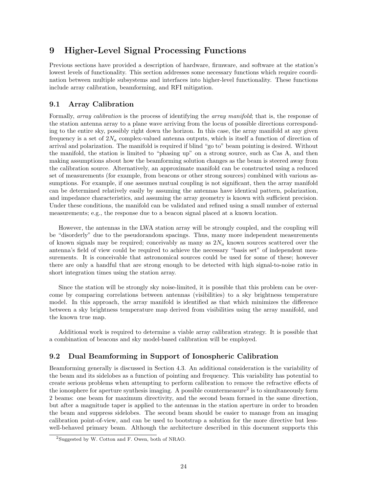# 9 Higher-Level Signal Processing Functions

Previous sections have provided a description of hardware, firmware, and software at the station's lowest levels of functionality. This section addresses some necessary functions which require coordination between multiple subsystems and interfaces into higher-level functionality. These functions include array calibration, beamforming, and RFI mitigation.

#### 9.1 Array Calibration

Formally, *array calibration* is the process of identifying the *array manifold*; that is, the response of the station antenna array to a plane wave arriving from the locus of possible directions corresponding to the entire sky, possibly right down the horizon. In this case, the array manifold at any given frequency is a set of  $2N_a$  complex-valued antenna outputs, which is itself a function of direction of arrival and polarization. The manifold is required if blind "go to" beam pointing is desired. Without the manifold, the station is limited to "phasing up" on a strong source, such as Cas A, and then making assumptions about how the beamforming solution changes as the beam is steered away from the calibration source. Alternatively, an approximate manifold can be constructed using a reduced set of measurements (for example, from beacons or other strong sources) combined with various assumptions. For example, if one assumes mutual coupling is not significant, then the array manifold can be determined relatively easily by assuming the antennas have identical pattern, polarization, and impedance characteristics, and assuming the array geometry is known with sufficient precision. Under these conditions, the manifold can be validated and refined using a small number of external measurements; e.g., the response due to a beacon signal placed at a known location.

However, the antennas in the LWA station array will be strongly coupled, and the coupling will be "disorderly" due to the pseudorandom spacings. Thus, many more independent measurements of known signals may be required; conceivably as many as  $2N_a$  known sources scattered over the antenna's field of view could be required to achieve the necessary "basis set" of independent measurements. It is conceivable that astronomical sources could be used for some of these; however there are only a handful that are strong enough to be detected with high signal-to-noise ratio in short integration times using the station array.

Since the station will be strongly sky noise-limited, it is possible that this problem can be overcome by comparing correlations between antennas (visibilities) to a sky brightness temperature model. In this approach, the array manifold is identified as that which minimizes the difference between a sky brightness temperature map derived from visibilities using the array manifold, and the known true map.

Additional work is required to determine a viable array calibration strategy. It is possible that a combination of beacons and sky model-based calibration will be employed.

### 9.2 Dual Beamforming in Support of Ionospheric Calibration

Beamforming generally is discussed in Section 4.3. An additional consideration is the variability of the beam and its sidelobes as a function of pointing and frequency. This variability has potential to create serious problems when attempting to perform calibration to remove the refractive effects of the ionosphere for aperture synthesis imaging. A possible countermeasure<sup>2</sup> is to simultaneously form 2 beams: one beam for maximum directivity, and the second beam formed in the same direction, but after a magnitude taper is applied to the antennas in the station aperture in order to broaden the beam and suppress sidelobes. The second beam should be easier to manage from an imaging calibration point-of-view, and can be used to bootstrap a solution for the more directive but lesswell-behaved primary beam. Although the architecture described in this document supports this

<sup>2</sup>Suggested by W. Cotton and F. Owen, both of NRAO.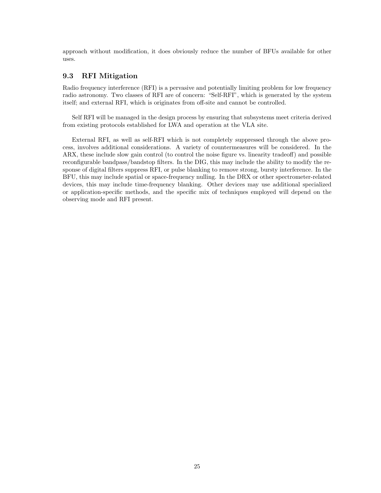approach without modification, it does obviously reduce the number of BFUs available for other uses.

#### 9.3 RFI Mitigation

Radio frequency interference (RFI) is a pervasive and potentially limiting problem for low frequency radio astronomy. Two classes of RFI are of concern: "Self-RFI", which is generated by the system itself; and external RFI, which is originates from off-site and cannot be controlled.

Self RFI will be managed in the design process by ensuring that subsystems meet criteria derived from existing protocols established for LWA and operation at the VLA site.

External RFI, as well as self-RFI which is not completely suppressed through the above process, involves additional considerations. A variety of countermeasures will be considered. In the ARX, these include slow gain control (to control the noise figure vs. linearity tradeoff) and possible reconfigurable bandpass/bandstop filters. In the DIG, this may include the ability to modify the response of digital filters suppress RFI, or pulse blanking to remove strong, bursty interference. In the BFU, this may include spatial or space-frequency nulling. In the DRX or other spectrometer-related devices, this may include time-frequency blanking. Other devices may use additional specialized or application-specific methods, and the specific mix of techniques employed will depend on the observing mode and RFI present.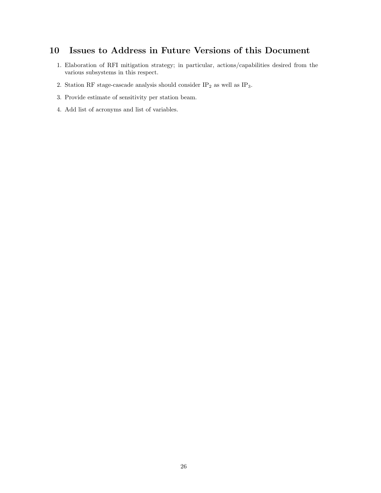# 10 Issues to Address in Future Versions of this Document

- 1. Elaboration of RFI mitigation strategy; in particular, actions/capabilities desired from the various subsystems in this respect.
- 2. Station RF stage-cascade analysis should consider  $\mathrm{IP}_2$  as well as  $\mathrm{IP}_3.$
- 3. Provide estimate of sensitivity per station beam.
- 4. Add list of acronyms and list of variables.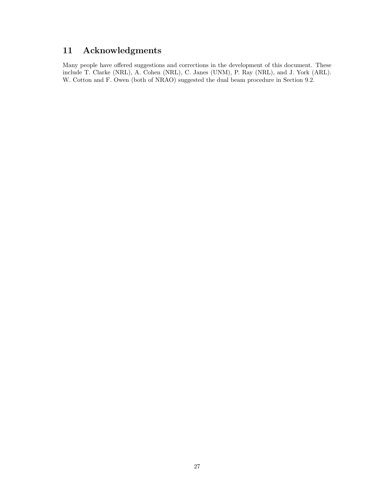# 11 Acknowledgments

Many people have offered suggestions and corrections in the development of this document. These include T. Clarke (NRL), A. Cohen (NRL), C. Janes (UNM), P. Ray (NRL), and J. York (ARL). W. Cotton and F. Owen (both of NRAO) suggested the dual beam procedure in Section 9.2.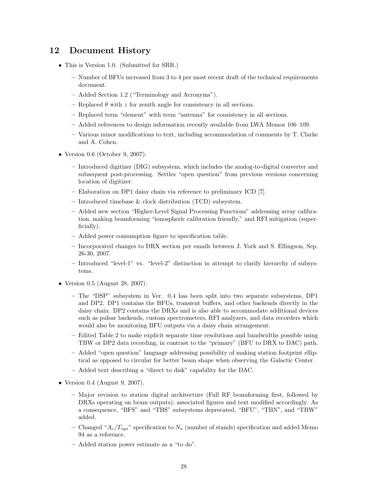# 12 Document History

- This is Version 1.0. (Submitted for SRR.)
	- Number of BFUs increased from 3 to 4 per most recent draft of the technical requirements document.
	- Added Section 1.2 ("Terminology and Acronyms").
	- Replaced  $\theta$  with z for zenith angle for consistency in all sections.
	- Replaced term "element" with term "antenna" for consistency in all sections.
	- Added references to design information recently available from LWA Memos 106–109.
	- Various minor modifications to text, including accommodation of comments by T. Clarke and A. Cohen.
- Version 0.6 (October 9, 2007).
	- Introduced digitizer (DIG) subsystem, which includes the analog-to-digital converter and subsequent post-processing. Settles "open question" from previous versions concerning location of digitizer.
	- Elaboration on DP1 daisy chain via reference to preliminary ICD [7].
	- Introduced timebase & clock distribution (TCD) subsystem.
	- Added new section "Higher-Level Signal Processing Functions" addressing array calibration, making beamforming "ionospheric calibration friendly," and RFI mitigation (superficially).
	- Added power consumption figure to specification table.
	- Incorporated changes to DRX section per emails between J. York and S. Ellingson, Sep. 26-30, 2007.
	- Introduced "level-1" vs. "level-2" distinction in attempt to clarify hierarchy of subsystems.
- Version 0.5 (August 28, 2007).
	- The "DSP" subsystem in Ver. 0.4 has been split into two separate subsystems, DP1 and DP2. DP1 contains the BFUs, transient buffers, and other backends directly in the daisy chain. DP2 contains the DRXs and is also able to accommodate additional devices such as pulsar backends, custom spectrometers, RFI analyzers, and data recorders which would also be monitoring BFU outputs via a daisy chain arrangement.
	- Edited Table 2 to make explicit separate time resolutions and bandwidths possible using TBW or DP2 data recording, in contrast to the "primary" (BFU to DRX to DAC) path.
	- Added "open question" language addressing possibility of making station footprint elliptical as opposed to circular for better beam shape when observing the Galactic Center.
	- Added text describing a "direct to disk" capability for the DAC.
- Version 0.4 (August 9, 2007).
	- Major revision to station digital architecture (Full RF beamforming first, followed by DRXs operating on beam outputs); associated figures and text modified accordingly. As a consequence, "BFS" and "TBS" subsystems deprecated, "BFU", "TBN", and "TBW" added.
	- Changed " $A_e/T_{sys}$ " specification to  $N_a$  (number of stands) specification and added Memo 94 as a reference.
	- Added station power estimate as a "to do".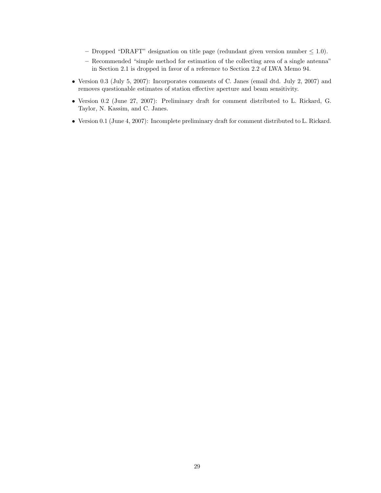- Dropped "DRAFT" designation on title page (redundant given version number  $\leq 1.0$ ).
- Recommended "simple method for estimation of the collecting area of a single antenna" in Section 2.1 is dropped in favor of a reference to Section 2.2 of LWA Memo 94.
- Version 0.3 (July 5, 2007): Incorporates comments of C. Janes (email dtd. July 2, 2007) and removes questionable estimates of station effective aperture and beam sensitivity.
- Version 0.2 (June 27, 2007): Preliminary draft for comment distributed to L. Rickard, G. Taylor, N. Kassim, and C. Janes.
- Version 0.1 (June 4, 2007): Incomplete preliminary draft for comment distributed to L. Rickard.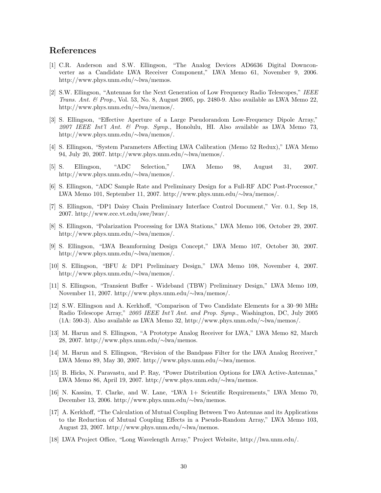### References

- [1] C.R. Anderson and S.W. Ellingson, "The Analog Devices AD6636 Digital Downconverter as a Candidate LWA Receiver Component," LWA Memo 61, November 9, 2006. http://www.phys.unm.edu/∼lwa/memos.
- [2] S.W. Ellingson, "Antennas for the Next Generation of Low Frequency Radio Telescopes," IEEE Trans. Ant. & Prop., Vol. 53, No. 8, August 2005, pp. 2480-9. Also available as LWA Memo 22, http://www.phys.unm.edu/∼lwa/memos/.
- [3] S. Ellingson, "Effective Aperture of a Large Pseudorandom Low-Frequency Dipole Array," 2007 IEEE Int'l Ant. & Prop. Symp., Honolulu, HI. Also available as LWA Memo 73, http://www.phys.unm.edu/∼lwa/memos/.
- [4] S. Ellingson, "System Parameters Affecting LWA Calibration (Memo 52 Redux)," LWA Memo 94, July 20, 2007. http://www.phys.unm.edu/∼lwa/memos/.
- [5] S. Ellingson, "ADC Selection," LWA Memo 98, August 31, 2007. http://www.phys.unm.edu/∼lwa/memos/.
- [6] S. Ellingson, "ADC Sample Rate and Preliminary Design for a Full-RF ADC Post-Processor," LWA Memo 101, September 11, 2007. http://www.phys.unm.edu/∼lwa/memos/.
- [7] S. Ellingson, "DP1 Daisy Chain Preliminary Interface Control Document," Ver. 0.1, Sep 18, 2007. http://www.ece.vt.edu/swe/lwav/.
- [8] S. Ellingson, "Polarization Processing for LWA Stations," LWA Memo 106, October 29, 2007. http://www.phys.unm.edu/∼lwa/memos/.
- [9] S. Ellingson, "LWA Beamforming Design Concept," LWA Memo 107, October 30, 2007. http://www.phys.unm.edu/∼lwa/memos/.
- [10] S. Ellingson, "BFU & DP1 Preliminary Design," LWA Memo 108, November 4, 2007. http://www.phys.unm.edu/∼lwa/memos/.
- [11] S. Ellingson, "Transient Buffer Wideband (TBW) Preliminary Design," LWA Memo 109, November 11, 2007. http://www.phys.unm.edu/∼lwa/memos/.
- [12] S.W. Ellingson and A. Kerkhoff, "Comparison of Two Candidate Elements for a 30–90 MHz Radio Telescope Array," 2005 IEEE Int'l Ant. and Prop. Symp., Washington, DC, July 2005 (1A: 590-3). Also available as LWA Memo 32, http://www.phys.unm.edu/∼lwa/memos/.
- [13] M. Harun and S. Ellingson, "A Prototype Analog Receiver for LWA," LWA Memo 82, March 28, 2007. http://www.phys.unm.edu/∼lwa/memos.
- [14] M. Harun and S. Ellingson, "Revision of the Bandpass Filter for the LWA Analog Receiver," LWA Memo 89, May 30, 2007. http://www.phys.unm.edu/∼lwa/memos.
- [15] B. Hicks, N. Paravastu, and P. Ray, "Power Distribution Options for LWA Active-Antennas," LWA Memo 86, April 19, 2007. http://www.phys.unm.edu/∼lwa/memos.
- [16] N. Kassim, T. Clarke, and W. Lane, "LWA 1+ Scientific Requirements," LWA Memo 70, December 13, 2006. http://www.phys.unm.edu/∼lwa/memos.
- [17] A. Kerkhoff, "The Calculation of Mutual Coupling Between Two Antennas and its Applications to the Reduction of Mutual Coupling Effects in a Pseudo-Random Array," LWA Memo 103, August 23, 2007. http://www.phys.unm.edu/∼lwa/memos.
- [18] LWA Project Office, "Long Wavelength Array," Project Website, http://lwa.unm.edu/.